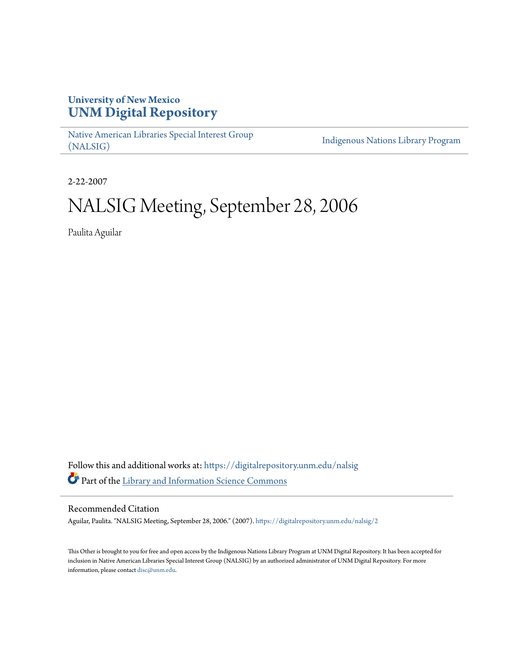# **University of New Mexico [UNM Digital Repository](https://digitalrepository.unm.edu?utm_source=digitalrepository.unm.edu%2Fnalsig%2F2&utm_medium=PDF&utm_campaign=PDFCoverPages)**

[Native American Libraries Special Interest Group](https://digitalrepository.unm.edu/nalsig?utm_source=digitalrepository.unm.edu%2Fnalsig%2F2&utm_medium=PDF&utm_campaign=PDFCoverPages) [\(NALSIG\)](https://digitalrepository.unm.edu/nalsig?utm_source=digitalrepository.unm.edu%2Fnalsig%2F2&utm_medium=PDF&utm_campaign=PDFCoverPages)

[Indigenous Nations Library Program](https://digitalrepository.unm.edu/inlp?utm_source=digitalrepository.unm.edu%2Fnalsig%2F2&utm_medium=PDF&utm_campaign=PDFCoverPages)

2-22-2007

# NALSIG Meeting, September 28, 2006

Paulita Aguilar

Follow this and additional works at: [https://digitalrepository.unm.edu/nalsig](https://digitalrepository.unm.edu/nalsig?utm_source=digitalrepository.unm.edu%2Fnalsig%2F2&utm_medium=PDF&utm_campaign=PDFCoverPages) Part of the [Library and Information Science Commons](http://network.bepress.com/hgg/discipline/1018?utm_source=digitalrepository.unm.edu%2Fnalsig%2F2&utm_medium=PDF&utm_campaign=PDFCoverPages)

#### Recommended Citation

Aguilar, Paulita. "NALSIG Meeting, September 28, 2006." (2007). [https://digitalrepository.unm.edu/nalsig/2](https://digitalrepository.unm.edu/nalsig/2?utm_source=digitalrepository.unm.edu%2Fnalsig%2F2&utm_medium=PDF&utm_campaign=PDFCoverPages)

This Other is brought to you for free and open access by the Indigenous Nations Library Program at UNM Digital Repository. It has been accepted for inclusion in Native American Libraries Special Interest Group (NALSIG) by an authorized administrator of UNM Digital Repository. For more information, please contact [disc@unm.edu.](mailto:disc@unm.edu)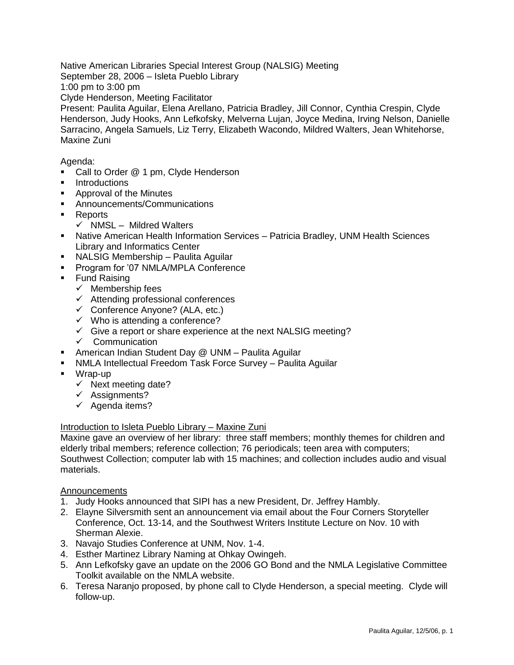Native American Libraries Special Interest Group (NALSIG) Meeting

September 28, 2006 – Isleta Pueblo Library

1:00 pm to 3:00 pm

Clyde Henderson, Meeting Facilitator

Present: Paulita Aguilar, Elena Arellano, Patricia Bradley, Jill Connor, Cynthia Crespin, Clyde Henderson, Judy Hooks, Ann Lefkofsky, Melverna Lujan, Joyce Medina, Irving Nelson, Danielle Sarracino, Angela Samuels, Liz Terry, Elizabeth Wacondo, Mildred Walters, Jean Whitehorse, Maxine Zuni

Agenda:

- Call to Order @ 1 pm, Clyde Henderson
- **Introductions**
- **Approval of the Minutes**
- Announcements/Communications
- Reports
	- $\checkmark$  NMSL Mildred Walters
- Native American Health Information Services Patricia Bradley, UNM Health Sciences Library and Informatics Center
- NALSIG Membership Paulita Aguilar
- **Program for '07 NMLA/MPLA Conference**
- Fund Raising
	- $\checkmark$  Membership fees
		- $\checkmark$  Attending professional conferences
	- $\checkmark$  Conference Anyone? (ALA, etc.)
	- $\checkmark$  Who is attending a conference?
	- $\checkmark$  Give a report or share experience at the next NALSIG meeting?
	- $\checkmark$  Communication
- American Indian Student Day @ UNM Paulita Aguilar
- NMLA Intellectual Freedom Task Force Survey Paulita Aguilar
- Wrap-up
	- $\checkmark$  Next meeting date?
	- $\checkmark$  Assignments?
	- $\checkmark$  Agenda items?

## Introduction to Isleta Pueblo Library – Maxine Zuni

Maxine gave an overview of her library: three staff members; monthly themes for children and elderly tribal members; reference collection; 76 periodicals; teen area with computers; Southwest Collection; computer lab with 15 machines; and collection includes audio and visual materials.

## **Announcements**

- 1. Judy Hooks announced that SIPI has a new President, Dr. Jeffrey Hambly.
- 2. Elayne Silversmith sent an announcement via email about the Four Corners Storyteller Conference, Oct. 13-14, and the Southwest Writers Institute Lecture on Nov. 10 with Sherman Alexie.
- 3. Navajo Studies Conference at UNM, Nov. 1-4.
- 4. Esther Martinez Library Naming at Ohkay Owingeh.
- 5. Ann Lefkofsky gave an update on the 2006 GO Bond and the NMLA Legislative Committee Toolkit available on the NMLA website.
- 6. Teresa Naranjo proposed, by phone call to Clyde Henderson, a special meeting. Clyde will follow-up.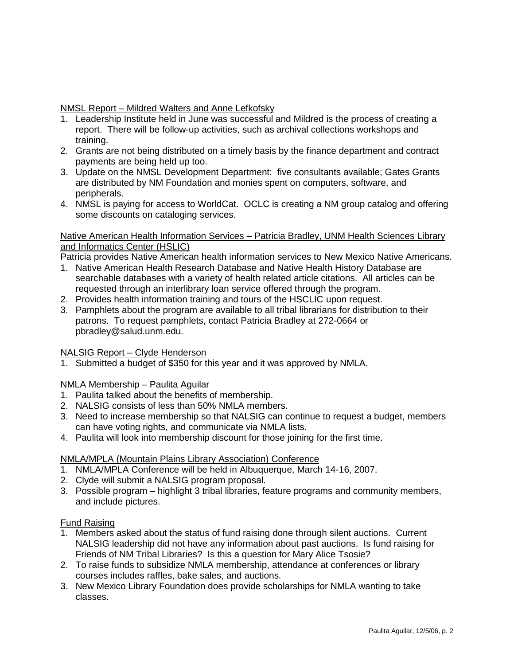# NMSL Report – Mildred Walters and Anne Lefkofsky

- 1. Leadership Institute held in June was successful and Mildred is the process of creating a report. There will be follow-up activities, such as archival collections workshops and training.
- 2. Grants are not being distributed on a timely basis by the finance department and contract payments are being held up too.
- 3. Update on the NMSL Development Department: five consultants available; Gates Grants are distributed by NM Foundation and monies spent on computers, software, and peripherals.
- 4. NMSL is paying for access to WorldCat. OCLC is creating a NM group catalog and offering some discounts on cataloging services.

## Native American Health Information Services – Patricia Bradley, UNM Health Sciences Library and Informatics Center (HSLIC)

Patricia provides Native American health information services to New Mexico Native Americans.

- 1. Native American Health Research Database and Native Health History Database are searchable databases with a variety of health related article citations. All articles can be requested through an interlibrary loan service offered through the program.
- 2. Provides health information training and tours of the HSCLIC upon request.
- 3. Pamphlets about the program are available to all tribal librarians for distribution to their patrons. To request pamphlets, contact Patricia Bradley at 272-0664 or pbradley@salud.unm.edu.

## NALSIG Report – Clyde Henderson

1. Submitted a budget of \$350 for this year and it was approved by NMLA.

## NMLA Membership – Paulita Aguilar

- 1. Paulita talked about the benefits of membership.
- 2. NALSIG consists of less than 50% NMLA members.
- 3. Need to increase membership so that NALSIG can continue to request a budget, members can have voting rights, and communicate via NMLA lists.
- 4. Paulita will look into membership discount for those joining for the first time.

#### NMLA/MPLA (Mountain Plains Library Association) Conference

- 1. NMLA/MPLA Conference will be held in Albuquerque, March 14-16, 2007.
- 2. Clyde will submit a NALSIG program proposal.
- 3. Possible program highlight 3 tribal libraries, feature programs and community members, and include pictures.

#### Fund Raising

- 1. Members asked about the status of fund raising done through silent auctions. Current NALSIG leadership did not have any information about past auctions. Is fund raising for Friends of NM Tribal Libraries? Is this a question for Mary Alice Tsosie?
- 2. To raise funds to subsidize NMLA membership, attendance at conferences or library courses includes raffles, bake sales, and auctions.
- 3. New Mexico Library Foundation does provide scholarships for NMLA wanting to take classes.